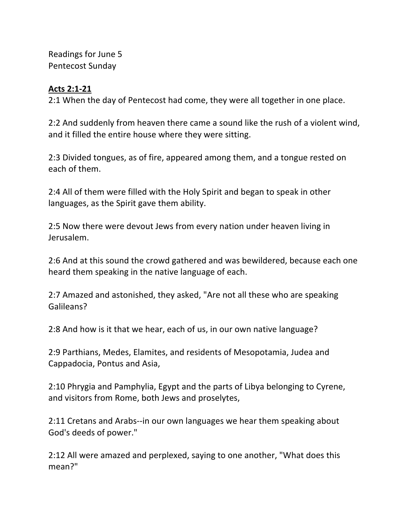Readings for June 5 Pentecost Sunday

## **Acts 2:1-21**

2:1 When the day of Pentecost had come, they were all together in one place.

2:2 And suddenly from heaven there came a sound like the rush of a violent wind, and it filled the entire house where they were sitting.

2:3 Divided tongues, as of fire, appeared among them, and a tongue rested on each of them.

2:4 All of them were filled with the Holy Spirit and began to speak in other languages, as the Spirit gave them ability.

2:5 Now there were devout Jews from every nation under heaven living in Jerusalem.

2:6 And at this sound the crowd gathered and was bewildered, because each one heard them speaking in the native language of each.

2:7 Amazed and astonished, they asked, "Are not all these who are speaking Galileans?

2:8 And how is it that we hear, each of us, in our own native language?

2:9 Parthians, Medes, Elamites, and residents of Mesopotamia, Judea and Cappadocia, Pontus and Asia,

2:10 Phrygia and Pamphylia, Egypt and the parts of Libya belonging to Cyrene, and visitors from Rome, both Jews and proselytes,

2:11 Cretans and Arabs--in our own languages we hear them speaking about God's deeds of power."

2:12 All were amazed and perplexed, saying to one another, "What does this mean?"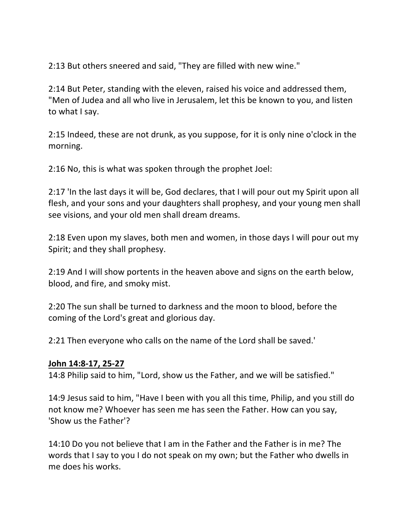2:13 But others sneered and said, "They are filled with new wine."

2:14 But Peter, standing with the eleven, raised his voice and addressed them, "Men of Judea and all who live in Jerusalem, let this be known to you, and listen to what I say.

2:15 Indeed, these are not drunk, as you suppose, for it is only nine o'clock in the morning.

2:16 No, this is what was spoken through the prophet Joel:

2:17 'In the last days it will be, God declares, that I will pour out my Spirit upon all flesh, and your sons and your daughters shall prophesy, and your young men shall see visions, and your old men shall dream dreams.

2:18 Even upon my slaves, both men and women, in those days I will pour out my Spirit; and they shall prophesy.

2:19 And I will show portents in the heaven above and signs on the earth below, blood, and fire, and smoky mist.

2:20 The sun shall be turned to darkness and the moon to blood, before the coming of the Lord's great and glorious day.

2:21 Then everyone who calls on the name of the Lord shall be saved.'

## **John 14:8-17, 25-27**

14:8 Philip said to him, "Lord, show us the Father, and we will be satisfied."

14:9 Jesus said to him, "Have I been with you all this time, Philip, and you still do not know me? Whoever has seen me has seen the Father. How can you say, 'Show us the Father'?

14:10 Do you not believe that I am in the Father and the Father is in me? The words that I say to you I do not speak on my own; but the Father who dwells in me does his works.